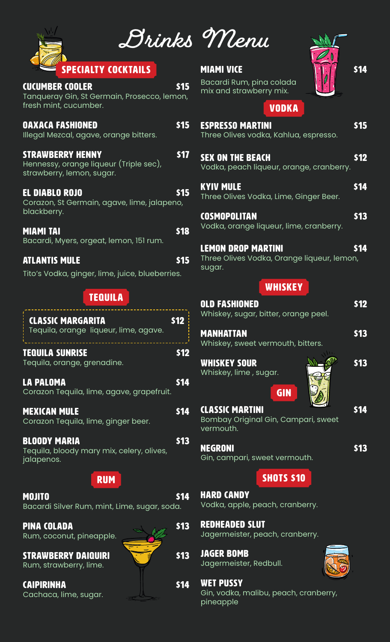

| <b>CUCUMBER COOLER</b> |                                             | <b>S15</b> |
|------------------------|---------------------------------------------|------------|
| fresh mint, cucumber.  | Tanqueray Gin, St Germain, Prosecco, lemon, |            |
|                        |                                             |            |

OAXACA FASHIONED \$15

**PECIALTY COCKTAILS** 

| Illegal Mezcal, agave, orange bitters.                                                         |      |
|------------------------------------------------------------------------------------------------|------|
| <b>STRAWBERRY HENNY</b><br>Hennessy, orange liqueur (Triple sec),<br>strawberry, lemon, sugar. | TS17 |

EL DIABLO ROJO **\$15** Corazon, St Germain, agave, lime, jalapeno, blackberry.

Miami tai \$18 Bacardi, Myers, orgeat, lemon, 151 rum.

## ATLANTIS MULE 515

Tito's Vodka, ginger, lime, juice, blueberries.

# TEQUILA

| <b>CLASSIC MARGARITA</b><br>Tequila, orange liqueur, lime, agave.              | \$12 |
|--------------------------------------------------------------------------------|------|
| <b>TEQUILA SUNRISE</b><br>Tequila, orange, grenadine.                          | 512  |
| <b>LA PALOMA</b><br>Corazon Tequila, lime, agave, grapefruit.                  | \$14 |
| <b>MEXICAN MULE</b><br>Corazon Tequila, lime, ginger beer.                     | \$14 |
| <b>BLOODY MARIA</b><br>Tequila, bloody mary mix, celery, olives,<br>jalapenos. | \$13 |
| <b>RUM</b>                                                                     |      |
| <b>MOJITO</b><br>Bacardi Silver Rum, mint, Lime, sugar, soda.                  | 514  |
|                                                                                |      |

PINA COLADA **\$13** Rum, coconut, pineapple.

STRAWBERRY DAIQUIRI **\$13** \$13 Rum, strawberry, lime.

CAIPIRINHA **\$14** Cachaca, lime, sugar.



| Menu |
|------|
|      |

Bacardi Rum, pina colada mix and strawberry mix.



# VODKA

| VUDRA                                                                             |      |
|-----------------------------------------------------------------------------------|------|
| <b>ESPRESSO MARTINI</b><br>Three Olives vodka, Kahlua, espresso.                  | \$15 |
| <b>SEX ON THE BEACH</b><br>Vodka, peach liqueur, orange, cranberry.               | \$12 |
| <b>KYIV MULE</b><br>Three Olives Vodka, Lime, Ginger Beer.                        | \$14 |
| <b>COSMOPOLITAN</b><br>Vodka, orange liqueur, lime, cranberry.                    | \$13 |
| <b>LEMON DROP MARTINI</b><br>Three Olives Vodka, Orange liqueur, lemon,<br>sugar. | \$14 |
| <b>WHISKEY</b>                                                                    |      |
| <b>OLD FASHIONED</b><br>Whiskey, sugar, bitter, orange peel.                      | \$12 |
| <b>MANHATTAN</b><br>Whiskey, sweet vermouth, bitters.                             | \$13 |
| <b>WHISKEY SOUR</b><br>Whiskey, lime, sugar.<br><b>GIN</b>                        | \$13 |
| <b>CLASSIC MARTINI</b><br>Bombay Original Gin, Campari, sweet<br>vermouth.        | \$14 |
| <b>NEGRONI</b>                                                                    | 513  |

Gin, campari, sweet vermouth.

**SHOTS \$10** 

HARD CANDY Vodka, apple, peach, cranberry.

Redheaded slut Jagermeister, peach, cranberry.

Jager bomb Jagermeister, Redbull.

Wet pussy Gin, vodka, malibu, peach, cranberry, pineapple